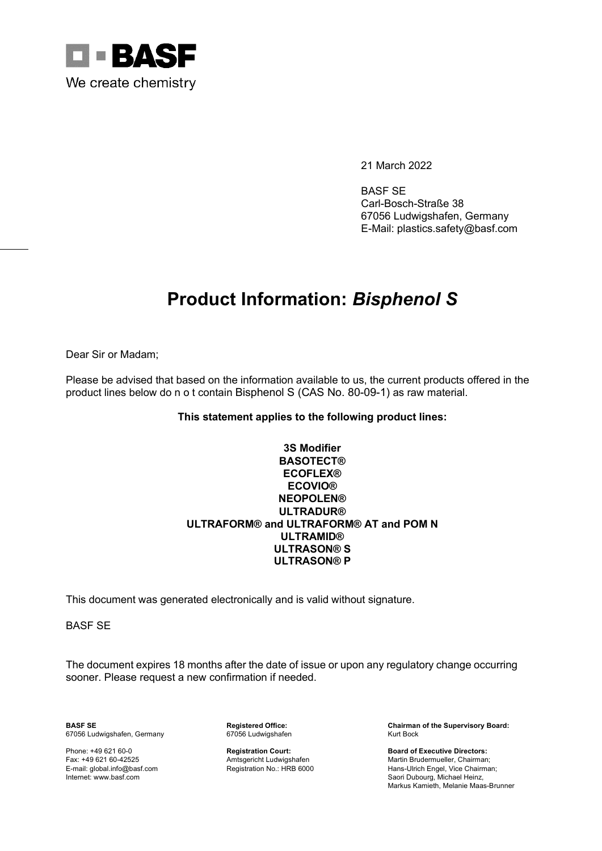

21 March 2022

BASF SE Carl-Bosch-Straße 38 67056 Ludwigshafen, Germany E-Mail: plastics.safety@basf.com

## **Product Information:** *Bisphenol S*

Dear Sir or Madam;

Please be advised that based on the information available to us, the current products offered in the product lines below do n o t contain Bisphenol S (CAS No. 80-09-1) as raw material.

## **This statement applies to the following product lines:**

## **3S Modifier BASOTECT® ECOFLEX® ECOVIO® NEOPOLEN® ULTRADUR® ULTRAFORM® and ULTRAFORM® AT and POM N ULTRAMID® ULTRASON® S ULTRASON® P**

This document was generated electronically and is valid without signature.

BASF SE

The document expires 18 months after the date of issue or upon any regulatory change occurring sooner. Please request a new confirmation if needed.

67056 Ludwigshafen, Germany

**BASF SE Registered Office: Chairman of the Supervisory Board:**

Phone: +49 621 60-0 **Registration Court: Board of Executive Directors:** Fax: +49 621 60-42525 **Amtsgericht Ludwigshafen** Martin Brudermueller, Chairman; Amtsgericht Ludwigshafen Martin Brudermueller, Chairman; E-mail: global.info@basf.com Registration No.: HRB 6000 Hans-Ulrich Engel, Vice Chai E-mail: global.info@basf.com Registration No.: HRB 6000 Hans-Ulrich Engel, Vice Chairman; Saori Dubourg, Michael Heinz, Markus Kamieth, Melanie Maas-Brunner